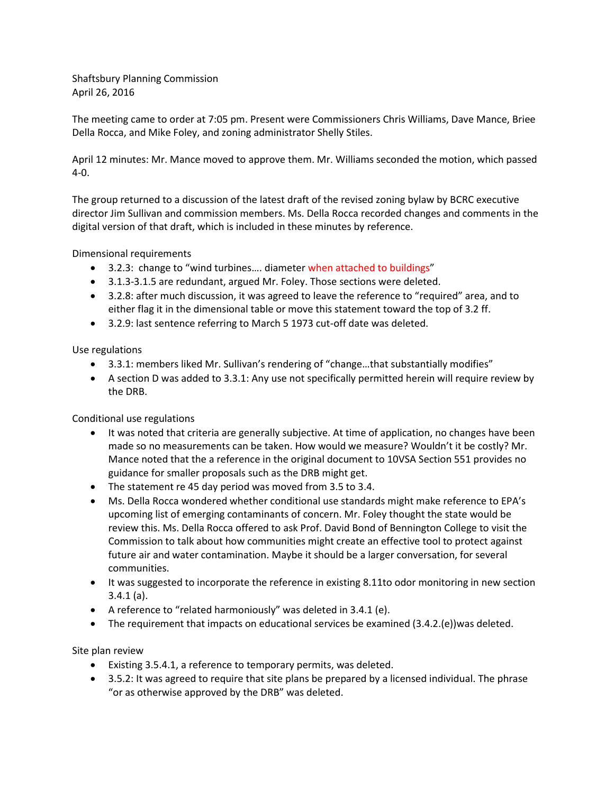Shaftsbury Planning Commission April 26, 2016

The meeting came to order at 7:05 pm. Present were Commissioners Chris Williams, Dave Mance, Briee Della Rocca, and Mike Foley, and zoning administrator Shelly Stiles.

April 12 minutes: Mr. Mance moved to approve them. Mr. Williams seconded the motion, which passed 4-0.

The group returned to a discussion of the latest draft of the revised zoning bylaw by BCRC executive director Jim Sullivan and commission members. Ms. Della Rocca recorded changes and comments in the digital version of that draft, which is included in these minutes by reference.

Dimensional requirements

- 3.2.3: change to "wind turbines.... diameter when attached to buildings"
- 3.1.3-3.1.5 are redundant, argued Mr. Foley. Those sections were deleted.
- 3.2.8: after much discussion, it was agreed to leave the reference to "required" area, and to either flag it in the dimensional table or move this statement toward the top of 3.2 ff.
- 3.2.9: last sentence referring to March 5 1973 cut-off date was deleted.

Use regulations

- 3.3.1: members liked Mr. Sullivan's rendering of "change…that substantially modifies"
- A section D was added to 3.3.1: Any use not specifically permitted herein will require review by the DRB.

Conditional use regulations

- It was noted that criteria are generally subjective. At time of application, no changes have been made so no measurements can be taken. How would we measure? Wouldn't it be costly? Mr. Mance noted that the a reference in the original document to 10VSA Section 551 provides no guidance for smaller proposals such as the DRB might get.
- The statement re 45 day period was moved from 3.5 to 3.4.
- Ms. Della Rocca wondered whether conditional use standards might make reference to EPA's upcoming list of emerging contaminants of concern. Mr. Foley thought the state would be review this. Ms. Della Rocca offered to ask Prof. David Bond of Bennington College to visit the Commission to talk about how communities might create an effective tool to protect against future air and water contamination. Maybe it should be a larger conversation, for several communities.
- It was suggested to incorporate the reference in existing 8.11to odor monitoring in new section 3.4.1 (a).
- A reference to "related harmoniously" was deleted in 3.4.1 (e).
- The requirement that impacts on educational services be examined (3.4.2.(e))was deleted.

Site plan review

- Existing 3.5.4.1, a reference to temporary permits, was deleted.
- 3.5.2: It was agreed to require that site plans be prepared by a licensed individual. The phrase "or as otherwise approved by the DRB" was deleted.